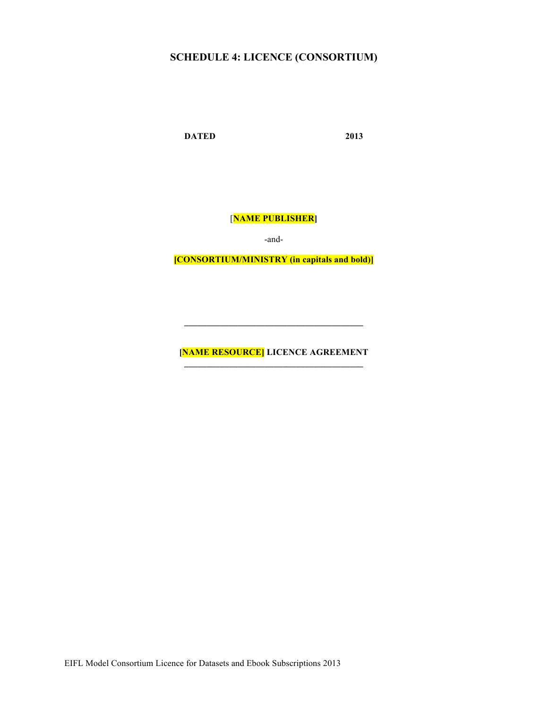### **SCHEDULE 4: LICENCE (CONSORTIUM)**

**DATED 2013**

[**NAME PUBLISHER]**

-and-

**[CONSORTIUM/MINISTRY (in capitals and bold)]**

**[NAME RESOURCE] LICENCE AGREEMENT**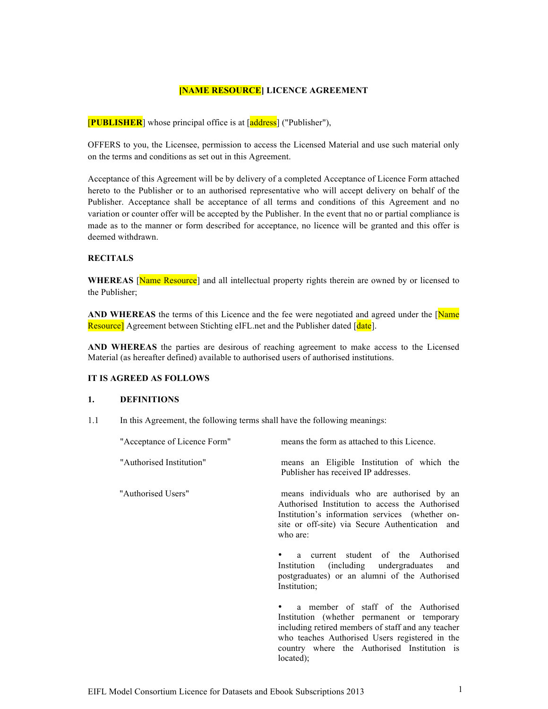#### **[NAME RESOURCE] LICENCE AGREEMENT**

[**PUBLISHER**] whose principal office is at [address] ("Publisher"),

OFFERS to you, the Licensee, permission to access the Licensed Material and use such material only on the terms and conditions as set out in this Agreement.

Acceptance of this Agreement will be by delivery of a completed Acceptance of Licence Form attached hereto to the Publisher or to an authorised representative who will accept delivery on behalf of the Publisher. Acceptance shall be acceptance of all terms and conditions of this Agreement and no variation or counter offer will be accepted by the Publisher. In the event that no or partial compliance is made as to the manner or form described for acceptance, no licence will be granted and this offer is deemed withdrawn.

#### **RECITALS**

WHEREAS [Name Resource] and all intellectual property rights therein are owned by or licensed to the Publisher;

AND WHEREAS the terms of this Licence and the fee were negotiated and agreed under the [Name] Resource] Agreement between Stichting eIFL.net and the Publisher dated [date].

**AND WHEREAS** the parties are desirous of reaching agreement to make access to the Licensed Material (as hereafter defined) available to authorised users of authorised institutions.

#### **IT IS AGREED AS FOLLOWS**

#### **1. DEFINITIONS**

1.1 In this Agreement, the following terms shall have the following meanings:

| "Acceptance of Licence Form" | means the form as attached to this Licence.                                                                                                                                                                                                               |  |  |
|------------------------------|-----------------------------------------------------------------------------------------------------------------------------------------------------------------------------------------------------------------------------------------------------------|--|--|
| "Authorised Institution"     | means an Eligible Institution of which the<br>Publisher has received IP addresses.                                                                                                                                                                        |  |  |
| "Authorised Users"           | means individuals who are authorised by an<br>Authorised Institution to access the Authorised<br>Institution's information services (whether on-<br>site or off-site) via Secure Authentication and<br>who are:                                           |  |  |
|                              | a current student of the Authorised<br>Institution (including undergraduates<br>and<br>postgraduates) or an alumni of the Authorised<br>Institution;                                                                                                      |  |  |
|                              | a member of staff of the Authorised<br>Institution (whether permanent or temporary<br>including retired members of staff and any teacher<br>who teaches Authorised Users registered in the<br>country where the Authorised Institution is<br>$located)$ ; |  |  |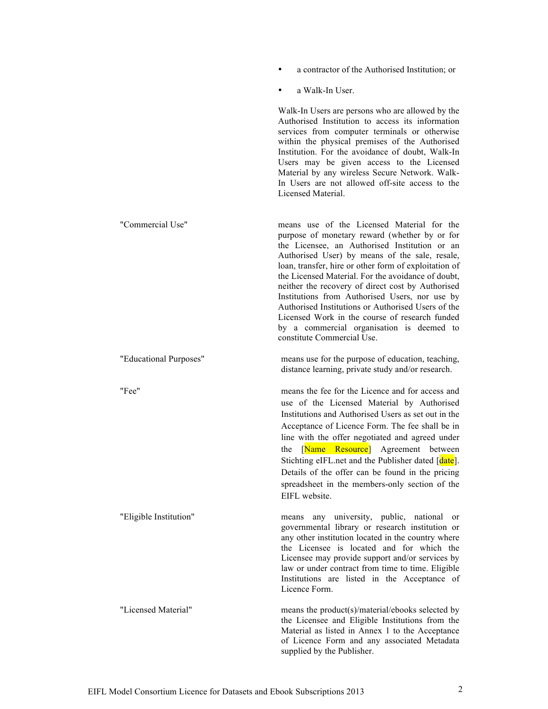- a contractor of the Authorised Institution; or
- a Walk-In User.

Walk-In Users are persons who are allowed by the Authorised Institution to access its information services from computer terminals or otherwise within the physical premises of the Authorised Institution. For the avoidance of doubt, Walk-In Users may be given access to the Licensed Material by any wireless Secure Network. Walk-In Users are not allowed off-site access to the Licensed Material.

"Commercial Use" means use of the Licensed Material for the purpose of monetary reward (whether by or for the Licensee, an Authorised Institution or an Authorised User) by means of the sale, resale, loan, transfer, hire or other form of exploitation of the Licensed Material. For the avoidance of doubt, neither the recovery of direct cost by Authorised Institutions from Authorised Users, nor use by Authorised Institutions or Authorised Users of the Licensed Work in the course of research funded by a commercial organisation is deemed to constitute Commercial Use.

"Educational Purposes" means use for the purpose of education, teaching, distance learning, private study and/or research.

"Fee" means the fee for the Licence and for access and use of the Licensed Material by Authorised Institutions and Authorised Users as set out in the Acceptance of Licence Form. The fee shall be in line with the offer negotiated and agreed under the [Name Resource] Agreement between Stichting eIFL.net and the Publisher dated [date]. Details of the offer can be found in the pricing spreadsheet in the members-only section of the EIFL website.

of Licence Form and any associated Metadata

supplied by the Publisher.

"Eligible Institution" means any university, public, national or governmental library or research institution or any other institution located in the country where the Licensee is located and for which the Licensee may provide support and/or services by law or under contract from time to time. Eligible Institutions are listed in the Acceptance of Licence Form. "Licensed Material" means the product(s)/material/ebooks selected by the Licensee and Eligible Institutions from the Material as listed in Annex 1 to the Acceptance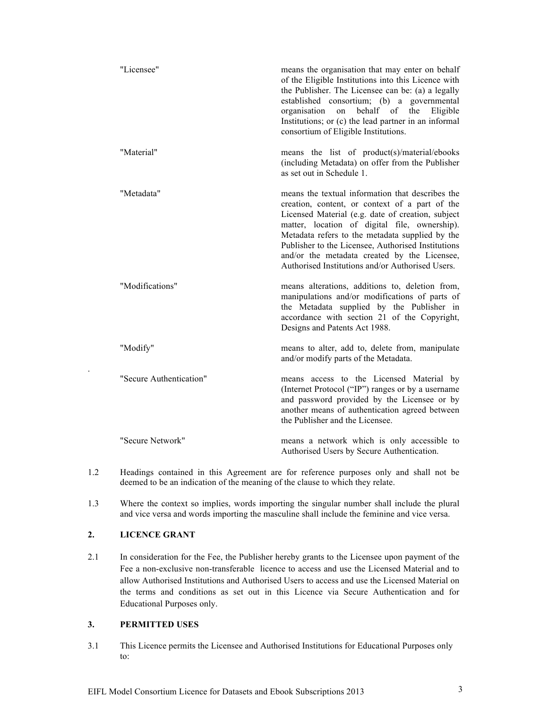| "Licensee"              | means the organisation that may enter on behalf<br>of the Eligible Institutions into this Licence with<br>the Publisher. The Licensee can be: (a) a legally<br>established consortium; (b) a governmental<br>behalf of<br>organisation<br>on<br>the<br>Eligible<br>Institutions; or (c) the lead partner in an informal<br>consortium of Eligible Institutions.                                                       |
|-------------------------|-----------------------------------------------------------------------------------------------------------------------------------------------------------------------------------------------------------------------------------------------------------------------------------------------------------------------------------------------------------------------------------------------------------------------|
| "Material"              | means the list of product(s)/material/ebooks<br>(including Metadata) on offer from the Publisher<br>as set out in Schedule 1.                                                                                                                                                                                                                                                                                         |
| "Metadata"              | means the textual information that describes the<br>creation, content, or context of a part of the<br>Licensed Material (e.g. date of creation, subject<br>matter, location of digital file, ownership).<br>Metadata refers to the metadata supplied by the<br>Publisher to the Licensee, Authorised Institutions<br>and/or the metadata created by the Licensee,<br>Authorised Institutions and/or Authorised Users. |
| "Modifications"         | means alterations, additions to, deletion from,<br>manipulations and/or modifications of parts of<br>the Metadata supplied by the Publisher in<br>accordance with section 21 of the Copyright,<br>Designs and Patents Act 1988.                                                                                                                                                                                       |
| "Modify"                | means to alter, add to, delete from, manipulate<br>and/or modify parts of the Metadata.                                                                                                                                                                                                                                                                                                                               |
| "Secure Authentication" | means access to the Licensed Material by<br>(Internet Protocol ("IP") ranges or by a username<br>and password provided by the Licensee or by<br>another means of authentication agreed between<br>the Publisher and the Licensee.                                                                                                                                                                                     |
| "Secure Network"        | means a network which is only accessible to<br>Authorised Users by Secure Authentication.                                                                                                                                                                                                                                                                                                                             |

- 1.2 Headings contained in this Agreement are for reference purposes only and shall not be deemed to be an indication of the meaning of the clause to which they relate.
- 1.3 Where the context so implies, words importing the singular number shall include the plural and vice versa and words importing the masculine shall include the feminine and vice versa.

#### **2. LICENCE GRANT**

.

2.1 In consideration for the Fee, the Publisher hereby grants to the Licensee upon payment of the Fee a non-exclusive non-transferable licence to access and use the Licensed Material and to allow Authorised Institutions and Authorised Users to access and use the Licensed Material on the terms and conditions as set out in this Licence via Secure Authentication and for Educational Purposes only.

#### **3. PERMITTED USES**

3.1 This Licence permits the Licensee and Authorised Institutions for Educational Purposes only to: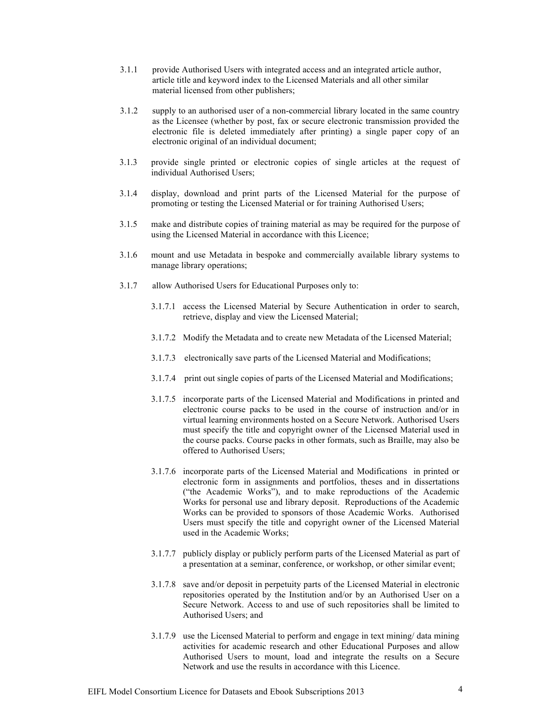- 3.1.1 provide Authorised Users with integrated access and an integrated article author, article title and keyword index to the Licensed Materials and all other similar material licensed from other publishers;
- 3.1.2 supply to an authorised user of a non-commercial library located in the same country as the Licensee (whether by post, fax or secure electronic transmission provided the electronic file is deleted immediately after printing) a single paper copy of an electronic original of an individual document;
- 3.1.3 provide single printed or electronic copies of single articles at the request of individual Authorised Users;
- 3.1.4 display, download and print parts of the Licensed Material for the purpose of promoting or testing the Licensed Material or for training Authorised Users;
- 3.1.5 make and distribute copies of training material as may be required for the purpose of using the Licensed Material in accordance with this Licence;
- 3.1.6 mount and use Metadata in bespoke and commercially available library systems to manage library operations;
- 3.1.7 allow Authorised Users for Educational Purposes only to:
	- 3.1.7.1 access the Licensed Material by Secure Authentication in order to search, retrieve, display and view the Licensed Material;
	- 3.1.7.2 Modify the Metadata and to create new Metadata of the Licensed Material;
	- 3.1.7.3 electronically save parts of the Licensed Material and Modifications;
	- 3.1.7.4 print out single copies of parts of the Licensed Material and Modifications;
	- 3.1.7.5 incorporate parts of the Licensed Material and Modifications in printed and electronic course packs to be used in the course of instruction and/or in virtual learning environments hosted on a Secure Network. Authorised Users must specify the title and copyright owner of the Licensed Material used in the course packs. Course packs in other formats, such as Braille, may also be offered to Authorised Users;
	- 3.1.7.6 incorporate parts of the Licensed Material and Modifications in printed or electronic form in assignments and portfolios, theses and in dissertations ("the Academic Works"), and to make reproductions of the Academic Works for personal use and library deposit. Reproductions of the Academic Works can be provided to sponsors of those Academic Works. Authorised Users must specify the title and copyright owner of the Licensed Material used in the Academic Works;
	- 3.1.7.7 publicly display or publicly perform parts of the Licensed Material as part of a presentation at a seminar, conference, or workshop, or other similar event;
	- 3.1.7.8 save and/or deposit in perpetuity parts of the Licensed Material in electronic repositories operated by the Institution and/or by an Authorised User on a Secure Network. Access to and use of such repositories shall be limited to Authorised Users; and
	- 3.1.7.9 use the Licensed Material to perform and engage in text mining/ data mining activities for academic research and other Educational Purposes and allow Authorised Users to mount, load and integrate the results on a Secure Network and use the results in accordance with this Licence.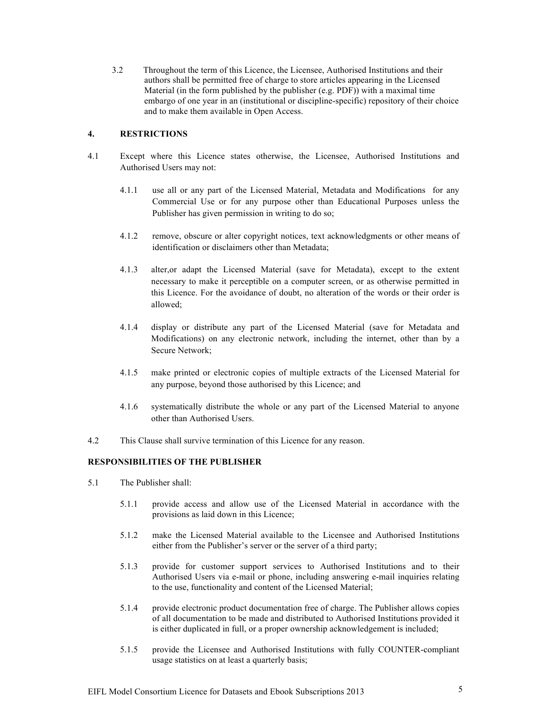3.2Throughout the term of this Licence, the Licensee, Authorised Institutions and their authors shall be permitted free of charge to store articles appearing in the Licensed Material (in the form published by the publisher (e.g. PDF)) with a maximal time embargo of one year in an (institutional or discipline-specific) repository of their choice and to make them available in Open Access.

#### **4. RESTRICTIONS**

- 4.1 Except where this Licence states otherwise, the Licensee, Authorised Institutions and Authorised Users may not:
	- 4.1.1 use all or any part of the Licensed Material, Metadata and Modifications for any Commercial Use or for any purpose other than Educational Purposes unless the Publisher has given permission in writing to do so;
	- 4.1.2 remove, obscure or alter copyright notices, text acknowledgments or other means of identification or disclaimers other than Metadata;
	- 4.1.3 alter,or adapt the Licensed Material (save for Metadata), except to the extent necessary to make it perceptible on a computer screen, or as otherwise permitted in this Licence. For the avoidance of doubt, no alteration of the words or their order is allowed;
	- 4.1.4 display or distribute any part of the Licensed Material (save for Metadata and Modifications) on any electronic network, including the internet, other than by a Secure Network;
	- 4.1.5 make printed or electronic copies of multiple extracts of the Licensed Material for any purpose, beyond those authorised by this Licence; and
	- 4.1.6 systematically distribute the whole or any part of the Licensed Material to anyone other than Authorised Users.
- 4.2 This Clause shall survive termination of this Licence for any reason.

#### **RESPONSIBILITIES OF THE PUBLISHER**

- 5.1 The Publisher shall:
	- 5.1.1 provide access and allow use of the Licensed Material in accordance with the provisions as laid down in this Licence;
	- 5.1.2 make the Licensed Material available to the Licensee and Authorised Institutions either from the Publisher's server or the server of a third party;
	- 5.1.3 provide for customer support services to Authorised Institutions and to their Authorised Users via e-mail or phone, including answering e-mail inquiries relating to the use, functionality and content of the Licensed Material;
	- 5.1.4 provide electronic product documentation free of charge. The Publisher allows copies of all documentation to be made and distributed to Authorised Institutions provided it is either duplicated in full, or a proper ownership acknowledgement is included;
	- 5.1.5 provide the Licensee and Authorised Institutions with fully COUNTER-compliant usage statistics on at least a quarterly basis;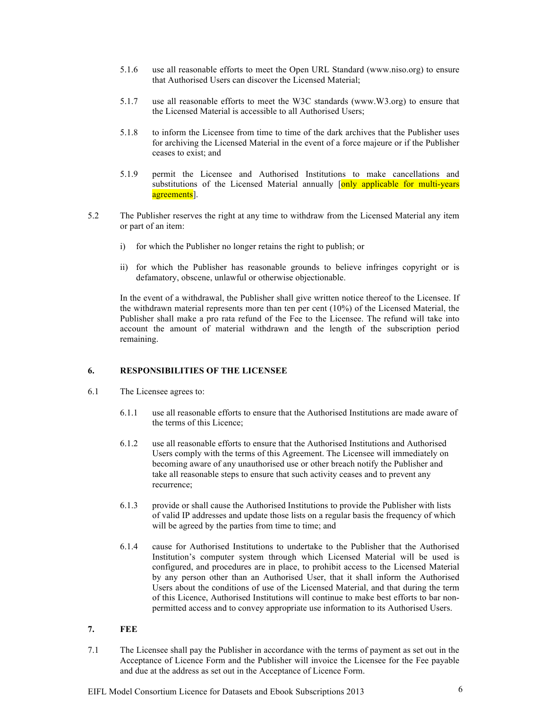- 5.1.6 use all reasonable efforts to meet the Open URL Standard (www.niso.org) to ensure that Authorised Users can discover the Licensed Material;
- 5.1.7 use all reasonable efforts to meet the W3C standards (www.W3.org) to ensure that the Licensed Material is accessible to all Authorised Users;
- 5.1.8 to inform the Licensee from time to time of the dark archives that the Publisher uses for archiving the Licensed Material in the event of a force majeure or if the Publisher ceases to exist; and
- 5.1.9 permit the Licensee and Authorised Institutions to make cancellations and substitutions of the Licensed Material annually [only applicable for multi-years agreements<sup>[1]</sup>.
- 5.2 The Publisher reserves the right at any time to withdraw from the Licensed Material any item or part of an item:
	- i) for which the Publisher no longer retains the right to publish; or
	- ii) for which the Publisher has reasonable grounds to believe infringes copyright or is defamatory, obscene, unlawful or otherwise objectionable.

In the event of a withdrawal, the Publisher shall give written notice thereof to the Licensee. If the withdrawn material represents more than ten per cent (10%) of the Licensed Material, the Publisher shall make a pro rata refund of the Fee to the Licensee. The refund will take into account the amount of material withdrawn and the length of the subscription period remaining.

#### **6. RESPONSIBILITIES OF THE LICENSEE**

- 6.1 The Licensee agrees to:
	- 6.1.1 use all reasonable efforts to ensure that the Authorised Institutions are made aware of the terms of this Licence;
	- 6.1.2 use all reasonable efforts to ensure that the Authorised Institutions and Authorised Users comply with the terms of this Agreement. The Licensee will immediately on becoming aware of any unauthorised use or other breach notify the Publisher and take all reasonable steps to ensure that such activity ceases and to prevent any recurrence;
	- 6.1.3 provide or shall cause the Authorised Institutions to provide the Publisher with lists of valid IP addresses and update those lists on a regular basis the frequency of which will be agreed by the parties from time to time; and
	- 6.1.4 cause for Authorised Institutions to undertake to the Publisher that the Authorised Institution's computer system through which Licensed Material will be used is configured, and procedures are in place, to prohibit access to the Licensed Material by any person other than an Authorised User, that it shall inform the Authorised Users about the conditions of use of the Licensed Material, and that during the term of this Licence, Authorised Institutions will continue to make best efforts to bar nonpermitted access and to convey appropriate use information to its Authorised Users.

#### **7. FEE**

7.1 The Licensee shall pay the Publisher in accordance with the terms of payment as set out in the Acceptance of Licence Form and the Publisher will invoice the Licensee for the Fee payable and due at the address as set out in the Acceptance of Licence Form.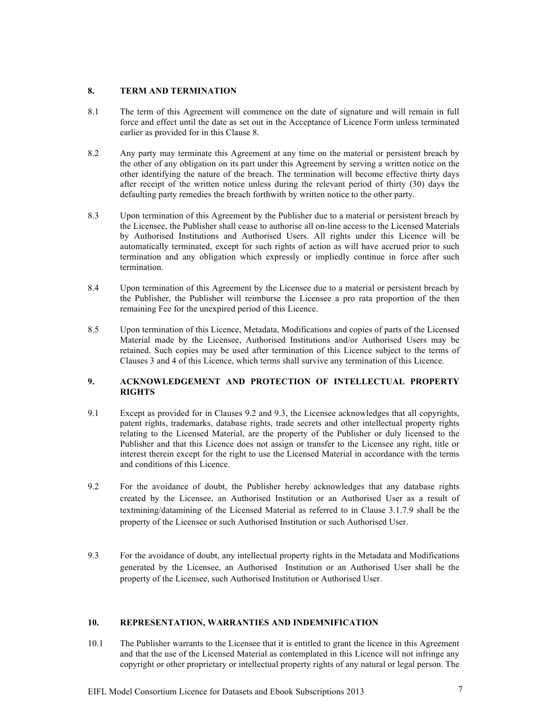#### **8. TERM AND TERMINATION**

- 8.1 The term of this Agreement will commence on the date of signature and will remain in full force and effect until the date as set out in the Acceptance of Licence Form unless terminated earlier as provided for in this Clause 8.
- 8.2 Any party may terminate this Agreement at any time on the material or persistent breach by the other of any obligation on its part under this Agreement by serving a written notice on the other identifying the nature of the breach. The termination will become effective thirty days after receipt of the written notice unless during the relevant period of thirty (30) days the defaulting party remedies the breach forthwith by written notice to the other party.
- 8.3 Upon termination of this Agreement by the Publisher due to a material or persistent breach by the Licensee, the Publisher shall cease to authorise all on-line access to the Licensed Materials by Authorised Institutions and Authorised Users. All rights under this Licence will be automatically terminated, except for such rights of action as will have accrued prior to such termination and any obligation which expressly or impliedly continue in force after such termination.
- 8.4 Upon termination of this Agreement by the Licensee due to a material or persistent breach by the Publisher, the Publisher will reimburse the Licensee a pro rata proportion of the then remaining Fee for the unexpired period of this Licence.
- 8.5 Upon termination of this Licence, Metadata, Modifications and copies of parts of the Licensed Material made by the Licensee, Authorised Institutions and/or Authorised Users may be retained. Such copies may be used after termination of this Licence subject to the terms of Clauses 3 and 4 of this Licence, which terms shall survive any termination of this Licence.

#### **9. ACKNOWLEDGEMENT AND PROTECTION OF INTELLECTUAL PROPERTY RIGHTS**

- 9.1 Except as provided for in Clauses 9.2 and 9.3, the Licensee acknowledges that all copyrights, patent rights, trademarks, database rights, trade secrets and other intellectual property rights relating to the Licensed Material, are the property of the Publisher or duly licensed to the Publisher and that this Licence does not assign or transfer to the Licensee any right, title or interest therein except for the right to use the Licensed Material in accordance with the terms and conditions of this Licence.
- 9.2 For the avoidance of doubt, the Publisher hereby acknowledges that any database rights created by the Licensee, an Authorised Institution or an Authorised User as a result of textmining/datamining of the Licensed Material as referred to in Clause 3.1.7.9 shall be the property of the Licensee or such Authorised Institution or such Authorised User.
- 9.3 For the avoidance of doubt, any intellectual property rights in the Metadata and Modifications generated by the Licensee, an Authorised Institution or an Authorised User shall be the property of the Licensee, such Authorised Institution or Authorised User.

#### **10. REPRESENTATION, WARRANTIES AND INDEMNIFICATION**

10.1 The Publisher warrants to the Licensee that it is entitled to grant the licence in this Agreement and that the use of the Licensed Material as contemplated in this Licence will not infringe any copyright or other proprietary or intellectual property rights of any natural or legal person. The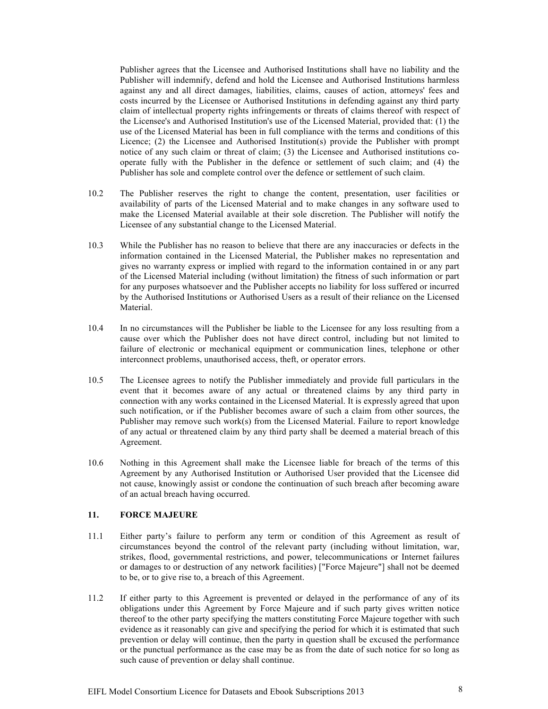Publisher agrees that the Licensee and Authorised Institutions shall have no liability and the Publisher will indemnify, defend and hold the Licensee and Authorised Institutions harmless against any and all direct damages, liabilities, claims, causes of action, attorneys' fees and costs incurred by the Licensee or Authorised Institutions in defending against any third party claim of intellectual property rights infringements or threats of claims thereof with respect of the Licensee's and Authorised Institution's use of the Licensed Material, provided that: (1) the use of the Licensed Material has been in full compliance with the terms and conditions of this Licence; (2) the Licensee and Authorised Institution(s) provide the Publisher with prompt notice of any such claim or threat of claim; (3) the Licensee and Authorised institutions cooperate fully with the Publisher in the defence or settlement of such claim; and (4) the Publisher has sole and complete control over the defence or settlement of such claim.

- 10.2 The Publisher reserves the right to change the content, presentation, user facilities or availability of parts of the Licensed Material and to make changes in any software used to make the Licensed Material available at their sole discretion. The Publisher will notify the Licensee of any substantial change to the Licensed Material.
- 10.3 While the Publisher has no reason to believe that there are any inaccuracies or defects in the information contained in the Licensed Material, the Publisher makes no representation and gives no warranty express or implied with regard to the information contained in or any part of the Licensed Material including (without limitation) the fitness of such information or part for any purposes whatsoever and the Publisher accepts no liability for loss suffered or incurred by the Authorised Institutions or Authorised Users as a result of their reliance on the Licensed Material.
- 10.4 In no circumstances will the Publisher be liable to the Licensee for any loss resulting from a cause over which the Publisher does not have direct control, including but not limited to failure of electronic or mechanical equipment or communication lines, telephone or other interconnect problems, unauthorised access, theft, or operator errors.
- 10.5 The Licensee agrees to notify the Publisher immediately and provide full particulars in the event that it becomes aware of any actual or threatened claims by any third party in connection with any works contained in the Licensed Material. It is expressly agreed that upon such notification, or if the Publisher becomes aware of such a claim from other sources, the Publisher may remove such work(s) from the Licensed Material. Failure to report knowledge of any actual or threatened claim by any third party shall be deemed a material breach of this Agreement.
- 10.6 Nothing in this Agreement shall make the Licensee liable for breach of the terms of this Agreement by any Authorised Institution or Authorised User provided that the Licensee did not cause, knowingly assist or condone the continuation of such breach after becoming aware of an actual breach having occurred.

#### **11. FORCE MAJEURE**

- 11.1 Either party's failure to perform any term or condition of this Agreement as result of circumstances beyond the control of the relevant party (including without limitation, war, strikes, flood, governmental restrictions, and power, telecommunications or Internet failures or damages to or destruction of any network facilities) ["Force Majeure"] shall not be deemed to be, or to give rise to, a breach of this Agreement.
- 11.2 If either party to this Agreement is prevented or delayed in the performance of any of its obligations under this Agreement by Force Majeure and if such party gives written notice thereof to the other party specifying the matters constituting Force Majeure together with such evidence as it reasonably can give and specifying the period for which it is estimated that such prevention or delay will continue, then the party in question shall be excused the performance or the punctual performance as the case may be as from the date of such notice for so long as such cause of prevention or delay shall continue.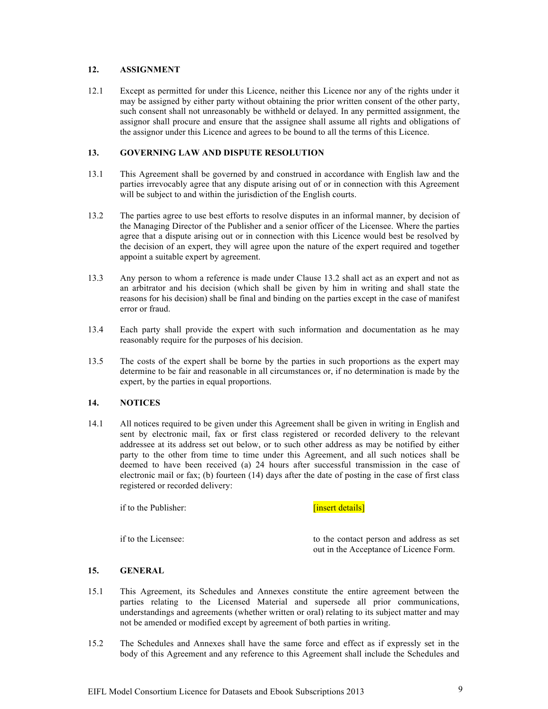#### **12. ASSIGNMENT**

12.1 Except as permitted for under this Licence, neither this Licence nor any of the rights under it may be assigned by either party without obtaining the prior written consent of the other party, such consent shall not unreasonably be withheld or delayed. In any permitted assignment, the assignor shall procure and ensure that the assignee shall assume all rights and obligations of the assignor under this Licence and agrees to be bound to all the terms of this Licence.

#### **13. GOVERNING LAW AND DISPUTE RESOLUTION**

- 13.1 This Agreement shall be governed by and construed in accordance with English law and the parties irrevocably agree that any dispute arising out of or in connection with this Agreement will be subject to and within the jurisdiction of the English courts.
- 13.2 The parties agree to use best efforts to resolve disputes in an informal manner, by decision of the Managing Director of the Publisher and a senior officer of the Licensee. Where the parties agree that a dispute arising out or in connection with this Licence would best be resolved by the decision of an expert, they will agree upon the nature of the expert required and together appoint a suitable expert by agreement.
- 13.3 Any person to whom a reference is made under Clause 13.2 shall act as an expert and not as an arbitrator and his decision (which shall be given by him in writing and shall state the reasons for his decision) shall be final and binding on the parties except in the case of manifest error or fraud.
- 13.4 Each party shall provide the expert with such information and documentation as he may reasonably require for the purposes of his decision.
- 13.5 The costs of the expert shall be borne by the parties in such proportions as the expert may determine to be fair and reasonable in all circumstances or, if no determination is made by the expert, by the parties in equal proportions.

#### **14. NOTICES**

14.1 All notices required to be given under this Agreement shall be given in writing in English and sent by electronic mail, fax or first class registered or recorded delivery to the relevant addressee at its address set out below, or to such other address as may be notified by either party to the other from time to time under this Agreement, and all such notices shall be deemed to have been received (a) 24 hours after successful transmission in the case of electronic mail or fax; (b) fourteen (14) days after the date of posting in the case of first class registered or recorded delivery:

if to the Publisher: **[insert details]** 

if to the Licensee: to the contact person and address as set out in the Acceptance of Licence Form.

#### **15. GENERAL**

- 15.1 This Agreement, its Schedules and Annexes constitute the entire agreement between the parties relating to the Licensed Material and supersede all prior communications, understandings and agreements (whether written or oral) relating to its subject matter and may not be amended or modified except by agreement of both parties in writing.
- 15.2 The Schedules and Annexes shall have the same force and effect as if expressly set in the body of this Agreement and any reference to this Agreement shall include the Schedules and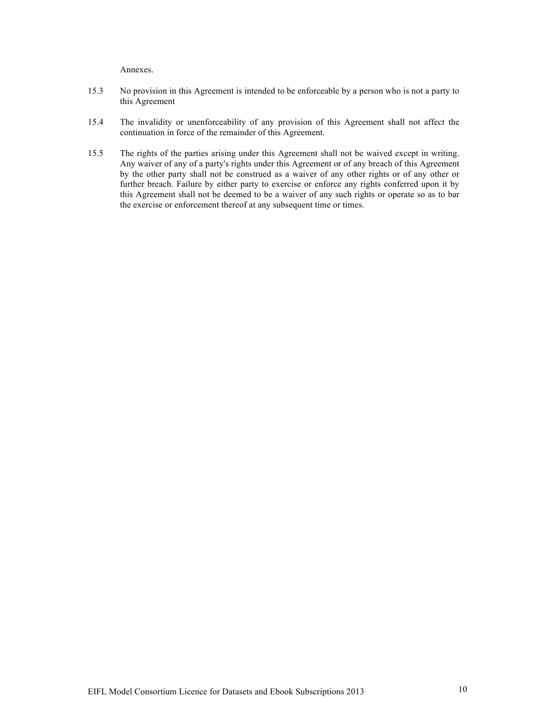Annexes.

- 15.3 No provision in this Agreement is intended to be enforceable by a person who is not a party to this Agreement
- 15.4 The invalidity or unenforceability of any provision of this Agreement shall not affect the continuation in force of the remainder of this Agreement.
- 15.5 The rights of the parties arising under this Agreement shall not be waived except in writing. Any waiver of any of a party's rights under this Agreement or of any breach of this Agreement by the other party shall not be construed as a waiver of any other rights or of any other or further breach. Failure by either party to exercise or enforce any rights conferred upon it by this Agreement shall not be deemed to be a waiver of any such rights or operate so as to bar the exercise or enforcement thereof at any subsequent time or times.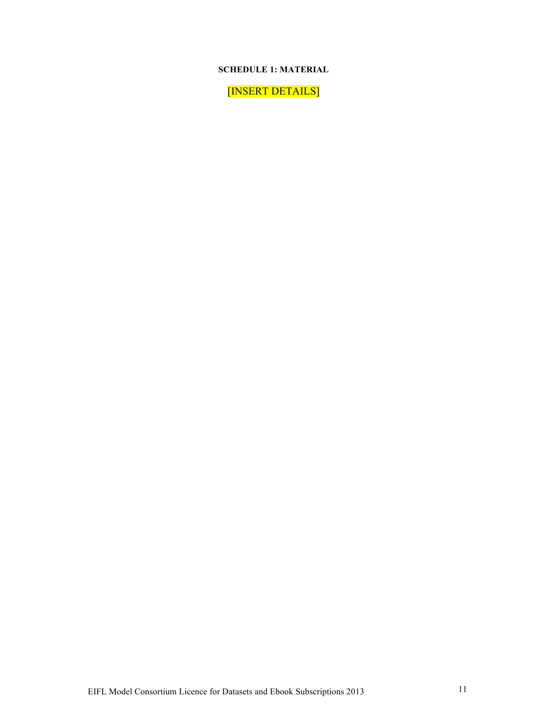### **SCHEDULE 1: MATERIAL**

[INSERT DETAILS]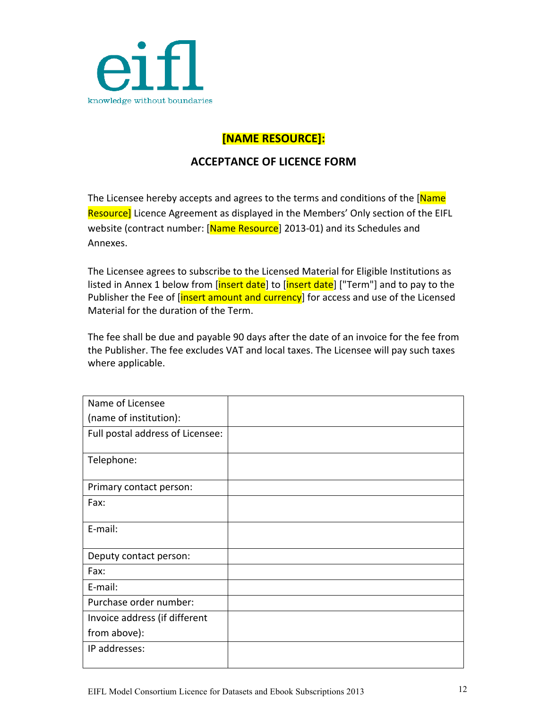

# **[NAME&RESOURCE]:**

## **ACCEPTANCE OF LICENCE FORM**

The Licensee hereby accepts and agrees to the terms and conditions of the [Name] Resource] Licence Agreement as displayed in the Members' Only section of the EIFL website (contract number: [Name Resource] 2013-01) and its Schedules and Annexes.

The Licensee agrees to subscribe to the Licensed Material for Eligible Institutions as listed in Annex 1 below from [insert date] to [insert date] ["Term"] and to pay to the Publisher the Fee of [insert amount and currency] for access and use of the Licensed Material for the duration of the Term.

The fee shall be due and payable 90 days after the date of an invoice for the fee from the Publisher. The fee excludes VAT and local taxes. The Licensee will pay such taxes where applicable.

| Name of Licensee                 |  |
|----------------------------------|--|
| (name of institution):           |  |
| Full postal address of Licensee: |  |
| Telephone:                       |  |
|                                  |  |
| Primary contact person:          |  |
| Fax:                             |  |
| E-mail:                          |  |
| Deputy contact person:           |  |
| Fax:                             |  |
| E-mail:                          |  |
| Purchase order number:           |  |
| Invoice address (if different    |  |
| from above):                     |  |
| IP addresses:                    |  |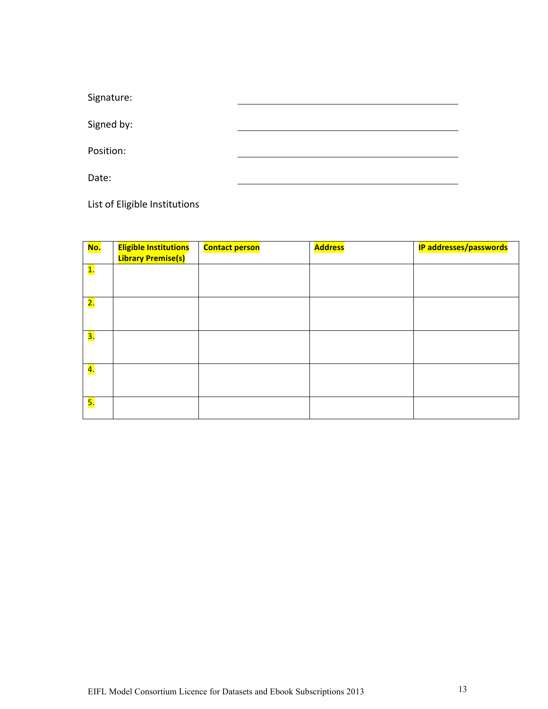Signature: Signed by: Position: Date:

List of Eligible Institutions

| <mark>No.</mark> | <b>Eligible Institutions</b><br><b>Library Premise(s)</b> | <b>Contact person</b> | <b>Address</b> | <b>IP addresses/passwords</b> |
|------------------|-----------------------------------------------------------|-----------------------|----------------|-------------------------------|
| <b>1.</b>        |                                                           |                       |                |                               |
| <mark>2.</mark>  |                                                           |                       |                |                               |
| <mark>3.</mark>  |                                                           |                       |                |                               |
| 4.               |                                                           |                       |                |                               |
| <mark>5.</mark>  |                                                           |                       |                |                               |